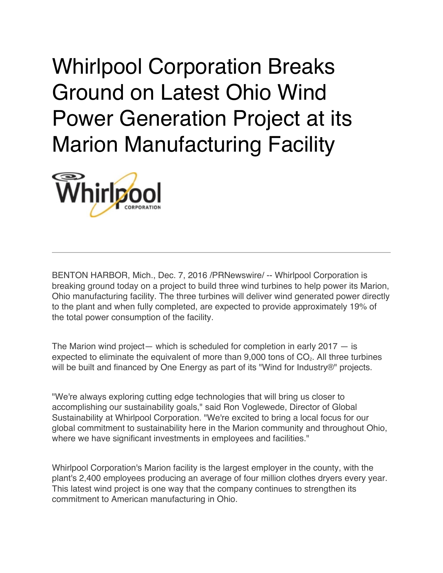Whirlpool Corporation Breaks Ground on Latest Ohio Wind Power Generation Project at its Marion Manufacturing Facility



BENTON HARBOR, Mich., Dec. 7, 2016 /PRNewswire/ -- Whirlpool Corporation is breaking ground today on a project to build three wind turbines to help power its Marion, Ohio manufacturing facility. The three turbines will deliver wind generated power directly to the plant and when fully completed, are expected to provide approximately 19% of the total power consumption of the facility.

The Marion wind project— which is scheduled for completion in early  $2017 - i$ s expected to eliminate the equivalent of more than  $9,000$  tons of  $CO<sub>2</sub>$ . All three turbines will be built and financed by One Energy as part of its "Wind for Industry®" projects.

"We're always exploring cutting edge technologies that will bring us closer to accomplishing our sustainability goals," said Ron Voglewede, Director of Global Sustainability at Whirlpool Corporation. "We're excited to bring a local focus for our global commitment to sustainability here in the Marion community and throughout Ohio, where we have significant investments in employees and facilities."

Whirlpool Corporation's Marion facility is the largest employer in the county, with the plant's 2,400 employees producing an average of four million clothes dryers every year. This latest wind project is one way that the company continues to strengthen its commitment to American manufacturing in Ohio.